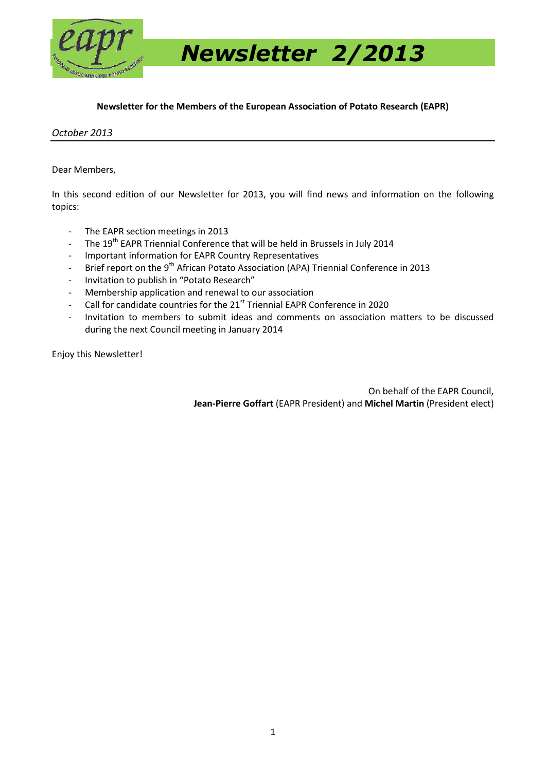

 *Newsletter 2/2013*

#### **Newsletter for the Members of the European Association of Potato Research (EAPR)**

#### *October 2013*

#### Dear Members,

In this second edition of our Newsletter for 2013, you will find news and information on the following topics:

- The EAPR section meetings in 2013
- The 19<sup>th</sup> EAPR Triennial Conference that will be held in Brussels in July 2014
- Important information for EAPR Country Representatives
- Brief report on the 9<sup>th</sup> African Potato Association (APA) Triennial Conference in 2013
- Invitation to publish in "Potato Research"
- Membership application and renewal to our association
- Call for candidate countries for the 21<sup>st</sup> Triennial EAPR Conference in 2020
- Invitation to members to submit ideas and comments on association matters to be discussed during the next Council meeting in January 2014

Enjoy this Newsletter!

On behalf of the EAPR Council, **Jean-Pierre Goffart** (EAPR President) and **Michel Martin** (President elect)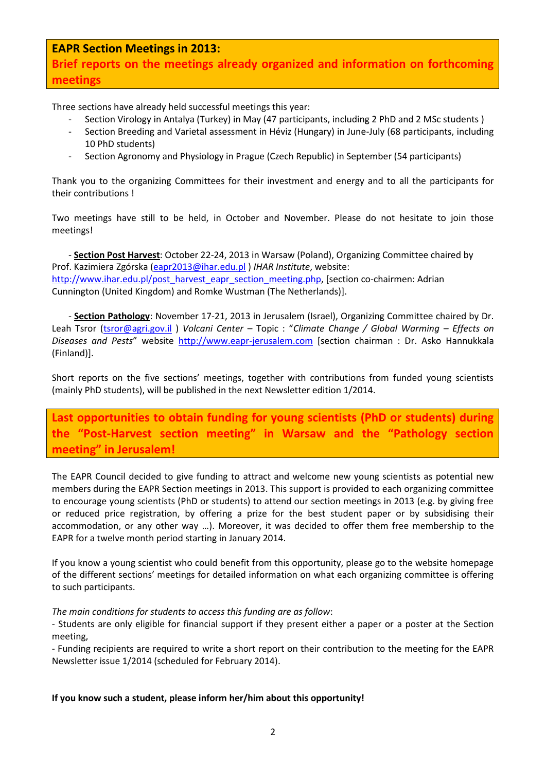**EAPR Section Meetings in 2013:**

**Brief reports on the meetings already organized and information on forthcoming meetings**

Three sections have already held successful meetings this year:

- Section Virology in Antalya (Turkey) in May (47 participants, including 2 PhD and 2 MSc students )
- Section Breeding and Varietal assessment in Héviz (Hungary) in June-July (68 participants, including 10 PhD students)
- Section Agronomy and Physiology in Prague (Czech Republic) in September (54 participants)

Thank you to the organizing Committees for their investment and energy and to all the participants for their contributions !

Two meetings have still to be held, in October and November. Please do not hesitate to join those meetings!

- **Section Post Harvest**: October 22-24, 2013 in Warsaw (Poland), Organizing Committee chaired by Prof. Kazimiera Zgórska [\(eapr2013@ihar.edu.pl](mailto:eapr2013@ihar.edu.pl) ) *IHAR Institute*, website: [http://www.ihar.edu.pl/post\\_harvest\\_eapr\\_section\\_meeting.php,](http://www.ihar.edu.pl/post_harvest_eapr_section_meeting.php) [section co-chairmen: Adrian Cunnington (United Kingdom) and Romke Wustman (The Netherlands)].

- **Section Pathology**: November 17-21, 2013 in Jerusalem (Israel), Organizing Committee chaired by Dr. Leah Tsror [\(tsror@agri.gov.il](mailto:tsror@agri.gov.il) ) *Volcani Center* – Topic : "*Climate Change / Global Warming – Effects on Diseases and Pests*" website [http://www.eapr-jerusalem.com](http://www.eapr-jerusalem.com/) [section chairman : Dr. Asko Hannukkala (Finland)].

Short reports on the five sections' meetings, together with contributions from funded young scientists (mainly PhD students), will be published in the next Newsletter edition 1/2014.

**Last opportunities to obtain funding for young scientists (PhD or students) during the "Post-Harvest section meeting" in Warsaw and the "Pathology section meeting" in Jerusalem!**

The EAPR Council decided to give funding to attract and welcome new young scientists as potential new members during the EAPR Section meetings in 2013. This support is provided to each organizing committee to encourage young scientists (PhD or students) to attend our section meetings in 2013 (e.g. by giving free or reduced price registration, by offering a prize for the best student paper or by subsidising their accommodation, or any other way …). Moreover, it was decided to offer them free membership to the EAPR for a twelve month period starting in January 2014.

If you know a young scientist who could benefit from this opportunity, please go to the website homepage of the different sections' meetings for detailed information on what each organizing committee is offering to such participants.

#### *The main conditions for students to access this funding are as follow*:

- Students are only eligible for financial support if they present either a paper or a poster at the Section meeting,

- Funding recipients are required to write a short report on their contribution to the meeting for the EAPR Newsletter issue 1/2014 (scheduled for February 2014).

#### **If you know such a student, please inform her/him about this opportunity!**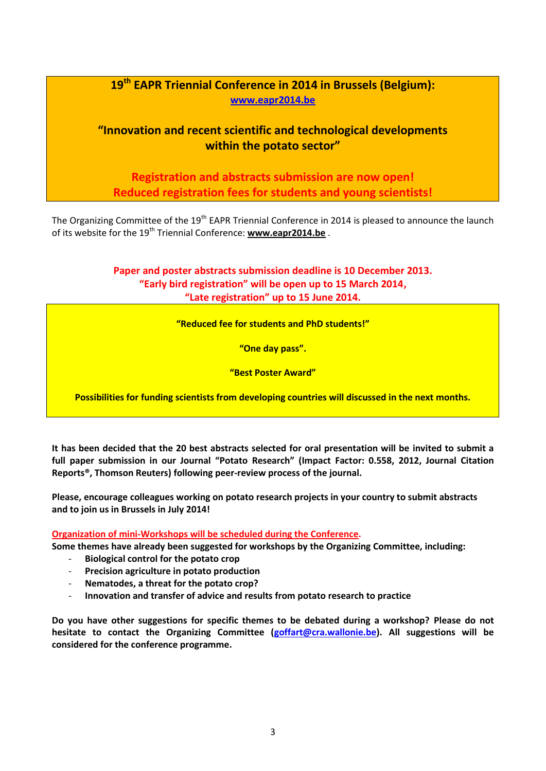## **19th EAPR Triennial Conference in 2014 in Brussels (Belgium): [www.eapr2014.be](http://www.eapr2014.be/)**

### **"Innovation and recent scientific and technological developments within the potato sector"**

**Registration and abstracts submission are now open! Reduced registration fees for students and young scientists!**

The Organizing Committee of the 19<sup>th</sup> EAPR Triennial Conference in 2014 is pleased to announce the launch of its website for the 19<sup>th</sup> Triennial Conference: [www.eapr2014.be](http://www.eapr2014.be/).

> **Paper and poster abstracts submission deadline is 10 December 2013. "Early bird registration" will be open up to 15 March 2014, "Late registration" up to 15 June 2014.**

> > **"Reduced fee for students and PhD students!"**

**"One day pass".**

**"Best Poster Award"** 

**Possibilities for funding scientists from developing countries will discussed in the next months.**

**It has been decided that the 20 best abstracts selected for oral presentation will be invited to submit a full paper submission in our Journal "Potato Research" (Impact Factor: 0.558, 2012, Journal Citation Reports®, Thomson Reuters) following peer-review process of the journal.**

**Please, encourage colleagues working on potato research projects in your country to submit abstracts and to join us in Brussels in July 2014!** 

**Organization of mini-Workshops will be scheduled during the Conference.** 

**Some themes have already been suggested for workshops by the Organizing Committee, including:** 

- **Biological control for the potato crop**
- **Precision agriculture in potato production**
- **Nematodes, a threat for the potato crop?**
- **Innovation and transfer of advice and results from potato research to practice**

**Do you have other suggestions for specific themes to be debated during a workshop? Please do not hesitate to contact the Organizing Committee [\(goffart@cra.wallonie.be\)](mailto:goffart@cra.wallonie.be). All suggestions will be considered for the conference programme.**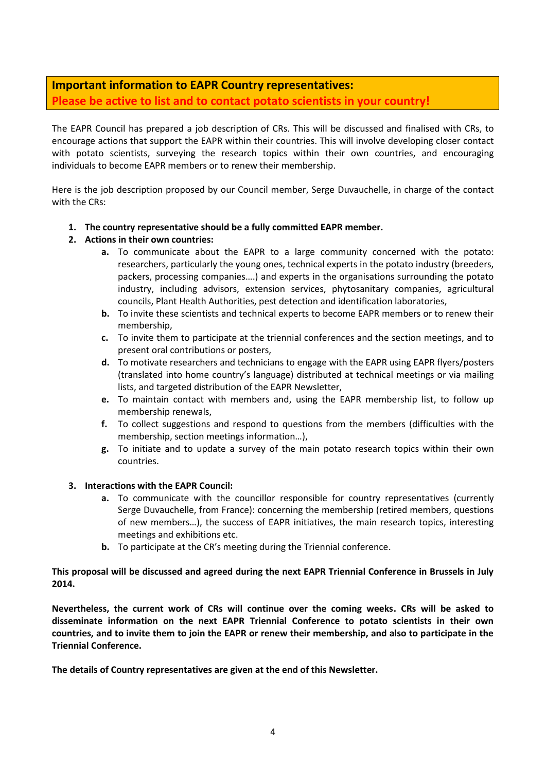## **Important information to EAPR Country representatives: Please be active to list and to contact potato scientists in your country!**

The EAPR Council has prepared a job description of CRs. This will be discussed and finalised with CRs, to encourage actions that support the EAPR within their countries. This will involve developing closer contact with potato scientists, surveying the research topics within their own countries, and encouraging individuals to become EAPR members or to renew their membership.

Here is the job description proposed by our Council member, Serge Duvauchelle, in charge of the contact with the CRs:

**1. The country representative should be a fully committed EAPR member.** 

#### **2. Actions in their own countries:**

- **a.** To communicate about the EAPR to a large community concerned with the potato: researchers, particularly the young ones, technical experts in the potato industry (breeders, packers, processing companies….) and experts in the organisations surrounding the potato industry, including advisors, extension services, phytosanitary companies, agricultural councils, Plant Health Authorities, pest detection and identification laboratories,
- **b.** To invite these scientists and technical experts to become EAPR members or to renew their membership,
- **c.** To invite them to participate at the triennial conferences and the section meetings, and to present oral contributions or posters,
- **d.** To motivate researchers and technicians to engage with the EAPR using EAPR flyers/posters (translated into home country's language) distributed at technical meetings or via mailing lists, and targeted distribution of the EAPR Newsletter,
- **e.** To maintain contact with members and, using the EAPR membership list, to follow up membership renewals,
- **f.** To collect suggestions and respond to questions from the members (difficulties with the membership, section meetings information…),
- **g.** To initiate and to update a survey of the main potato research topics within their own countries.

#### **3. Interactions with the EAPR Council:**

- **a.** To communicate with the councillor responsible for country representatives (currently Serge Duvauchelle, from France): concerning the membership (retired members, questions of new members…), the success of EAPR initiatives, the main research topics, interesting meetings and exhibitions etc.
- **b.** To participate at the CR's meeting during the Triennial conference.

#### **This proposal will be discussed and agreed during the next EAPR Triennial Conference in Brussels in July 2014.**

**Nevertheless, the current work of CRs will continue over the coming weeks. CRs will be asked to disseminate information on the next EAPR Triennial Conference to potato scientists in their own countries, and to invite them to join the EAPR or renew their membership, and also to participate in the Triennial Conference.** 

**The details of Country representatives are given at the end of this Newsletter.**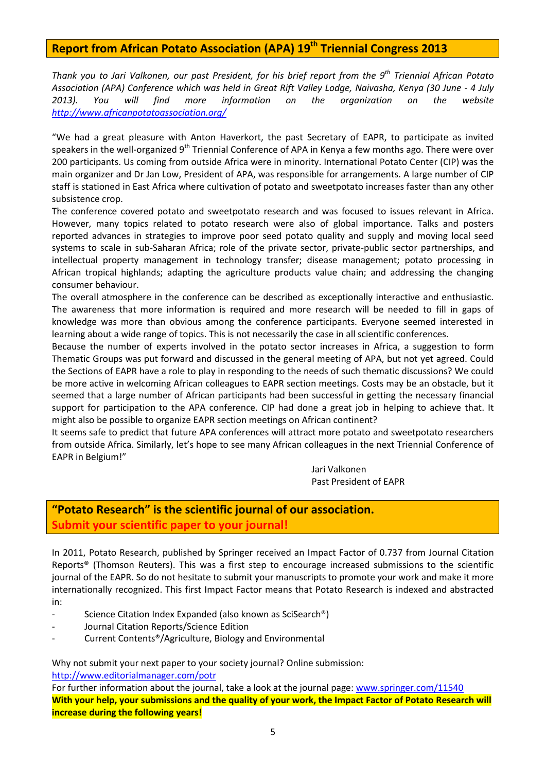## **Report from African Potato Association (APA) 19th Triennial Congress 2013**

*Thank you to Jari Valkonen, our past President, for his brief report from the 9th Triennial African Potato Association (APA) Conference which was held in Great Rift Valley Lodge, Naivasha, Kenya (30 June - 4 July 2013). You will find more information on the organization on the website <http://www.africanpotatoassociation.org/>*

"We had a great pleasure with Anton Haverkort, the past Secretary of EAPR, to participate as invited speakers in the well-organized 9<sup>th</sup> Triennial Conference of APA in Kenya a few months ago. There were over 200 participants. Us coming from outside Africa were in minority. International Potato Center (CIP) was the main organizer and Dr Jan Low, President of APA, was responsible for arrangements. A large number of CIP staff is stationed in East Africa where cultivation of potato and sweetpotato increases faster than any other subsistence crop.

The conference covered potato and sweetpotato research and was focused to issues relevant in Africa. However, many topics related to potato research were also of global importance. Talks and posters reported advances in strategies to improve poor seed potato quality and supply and moving local seed systems to scale in sub-Saharan Africa; role of the private sector, private-public sector partnerships, and intellectual property management in technology transfer; disease management; potato processing in African tropical highlands; adapting the agriculture products value chain; and addressing the changing consumer behaviour.

The overall atmosphere in the conference can be described as exceptionally interactive and enthusiastic. The awareness that more information is required and more research will be needed to fill in gaps of knowledge was more than obvious among the conference participants. Everyone seemed interested in learning about a wide range of topics. This is not necessarily the case in all scientific conferences.

Because the number of experts involved in the potato sector increases in Africa, a suggestion to form Thematic Groups was put forward and discussed in the general meeting of APA, but not yet agreed. Could the Sections of EAPR have a role to play in responding to the needs of such thematic discussions? We could be more active in welcoming African colleagues to EAPR section meetings. Costs may be an obstacle, but it seemed that a large number of African participants had been successful in getting the necessary financial support for participation to the APA conference. CIP had done a great job in helping to achieve that. It might also be possible to organize EAPR section meetings on African continent?

It seems safe to predict that future APA conferences will attract more potato and sweetpotato researchers from outside Africa. Similarly, let's hope to see many African colleagues in the next Triennial Conference of EAPR in Belgium!"

> Jari Valkonen Past President of EAPR

## **"Potato Research" is the scientific journal of our association. Submit your scientific paper to your journal!**

In 2011, Potato Research, published by Springer received an Impact Factor of 0.737 from Journal Citation Reports® (Thomson Reuters). This was a first step to encourage increased submissions to the scientific journal of the EAPR. So do not hesitate to submit your manuscripts to promote your work and make it more internationally recognized. This first Impact Factor means that Potato Research is indexed and abstracted in:

- Science Citation Index Expanded (also known as SciSearch®)
- Journal Citation Reports/Science Edition
- Current Contents®/Agriculture, Biology and Environmental

Why not submit your next paper to your society journal? Online submission: <http://www.editorialmanager.com/potr>

For further information about the journal, take a look at the journal page: [www.springer.com/11540](http://www.springer.com/11540)  **With your help, your submissions and the quality of your work, the Impact Factor of Potato Research will increase during the following years!**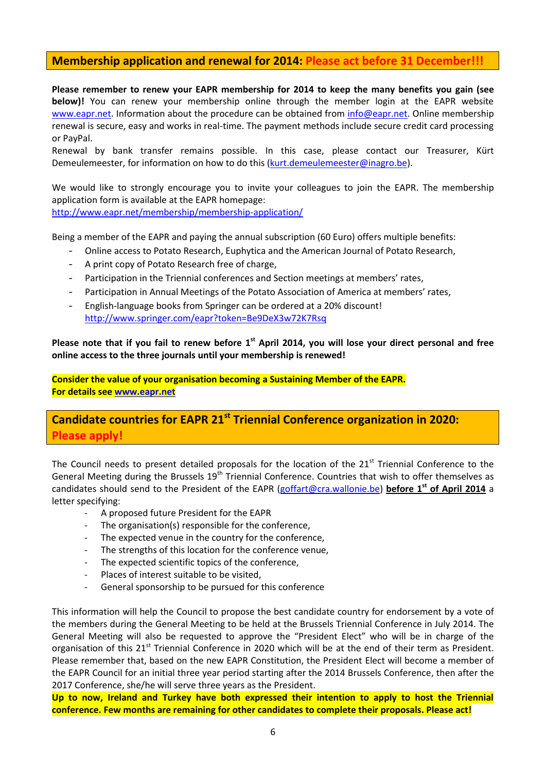#### **Membership application and renewal for 2014: Please act before 31 December!!!**

**Please remember to renew your EAPR membership for 2014 to keep the many benefits you gain (see below)!** You can renew your membership online through the member login at the EAPR website [www.eapr.net.](http://www.eapr.net/) Information about the procedure can be obtained from [info@eapr.net.](mailto:info@eapr.net) Online membership renewal is secure, easy and works in real-time. The payment methods include secure credit card processing or PayPal.

Renewal by bank transfer remains possible. In this case, please contact our Treasurer, Kürt Demeulemeester, for information on how to do this [\(kurt.demeulemeester@inagro.be\)](mailto:kurt.demeulemeester@inagro.be).

We would like to strongly encourage you to invite your colleagues to join the EAPR. The membership application form is available at the EAPR homepage: <http://www.eapr.net/membership/membership-application/>

Being a member of the EAPR and paying the annual subscription (60 Euro) offers multiple benefits:

- Online access to Potato Research, Euphytica and the American Journal of Potato Research,
- A print copy of Potato Research free of charge,
- Participation in the Triennial conferences and Section meetings at members' rates,
- Participation in Annual Meetings of the Potato Association of America at members' rates,
- English-language books from Springer can be ordered at a 20% discount! <http://www.springer.com/eapr?token=Be9DeX3w72K7Rsq>

**Please note that if you fail to renew before 1st April 2014, you will lose your direct personal and free online access to the three journals until your membership is renewed!** 

**Consider the value of your organisation becoming a Sustaining Member of the EAPR. For details see [www.eapr.net](http://www.eapr.net/)**

## **Candidate countries for EAPR 21st Triennial Conference organization in 2020: Please apply!**

The Council needs to present detailed proposals for the location of the 21<sup>st</sup> Triennial Conference to the General Meeting during the Brussels  $19<sup>th</sup>$  Triennial Conference. Countries that wish to offer themselves as candidates should send to the President of the EAPR [\(goffart@cra.wallonie.be\)](mailto:goffart@cra.wallonie.be) **before 1st of April 2014** a letter specifying:

- A proposed future President for the EAPR
- The organisation(s) responsible for the conference,
- The expected venue in the country for the conference,
- The strengths of this location for the conference venue,
- The expected scientific topics of the conference,
- Places of interest suitable to be visited,
- General sponsorship to be pursued for this conference

This information will help the Council to propose the best candidate country for endorsement by a vote of the members during the General Meeting to be held at the Brussels Triennial Conference in July 2014. The General Meeting will also be requested to approve the "President Elect" who will be in charge of the organisation of this 21<sup>st</sup> Triennial Conference in 2020 which will be at the end of their term as President. Please remember that, based on the new EAPR Constitution, the President Elect will become a member of the EAPR Council for an initial three year period starting after the 2014 Brussels Conference, then after the 2017 Conference, she/he will serve three years as the President.

**Up to now, Ireland and Turkey have both expressed their intention to apply to host the Triennial conference. Few months are remaining for other candidates to complete their proposals. Please act!**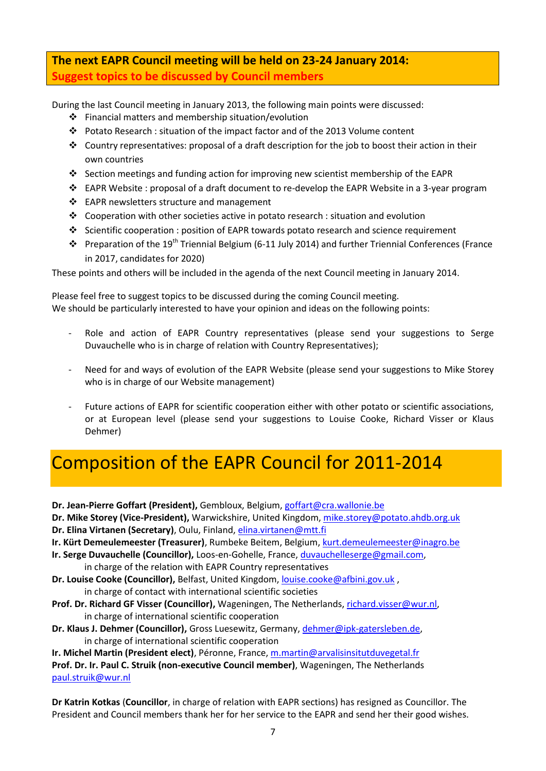## **The next EAPR Council meeting will be held on 23-24 January 2014: Suggest topics to be discussed by Council members**

During the last Council meeting in January 2013, the following main points were discussed:

- Financial matters and membership situation/evolution
- Potato Research : situation of the impact factor and of the 2013 Volume content
- Country representatives: proposal of a draft description for the job to boost their action in their own countries
- Section meetings and funding action for improving new scientist membership of the EAPR
- $\div$  EAPR Website : proposal of a draft document to re-develop the EAPR Website in a 3-year program
- ❖ EAPR newsletters structure and management
- Cooperation with other societies active in potato research : situation and evolution
- Scientific cooperation : position of EAPR towards potato research and science requirement
- Preparation of the 19<sup>th</sup> Triennial Belgium (6-11 July 2014) and further Triennial Conferences (France in 2017, candidates for 2020)

These points and others will be included in the agenda of the next Council meeting in January 2014.

Please feel free to suggest topics to be discussed during the coming Council meeting. We should be particularly interested to have your opinion and ideas on the following points:

- Role and action of EAPR Country representatives (please send your suggestions to Serge Duvauchelle who is in charge of relation with Country Representatives);
- Need for and ways of evolution of the EAPR Website (please send your suggestions to Mike Storey who is in charge of our Website management)
- Future actions of EAPR for scientific cooperation either with other potato or scientific associations, or at European level (please send your suggestions to Louise Cooke, Richard Visser or Klaus Dehmer)

## Composition of the EAPR Council for 2011-2014

**Dr. Jean-Pierre Goffart (President),** Gembloux, Belgium[, goffart@cra.wallonie.be](mailto:goffart@cra.wallonie.be) 

**Dr. Mike Storey (Vice-President),** Warwickshire, United Kingdom[, mike.storey@potato.ahdb.org.uk](mailto:mike.storey@potato.ahdb.org.uk) 

**Dr. Elina Virtanen (Secretary)**, Oulu, Finland[, elina.virtanen@mtt.fi](mailto:elina.virtanen@mtt.fi) 

- **Ir. Kürt Demeulemeester (Treasurer)**, Rumbeke Beitem, Belgium, [kurt.demeulemeester@inagro.be](mailto:kurt.demeulemeester@inagro.be)
- **Ir. Serge Duvauchelle (Councillor),** Loos-en-Gohelle, France[, duvauchelleserge@gmail.com,](mailto:duvauchelleserge@gmail.com)

in charge of the relation with EAPR Country representatives

- **Dr. Louise Cooke (Councillor),** Belfast, United Kingdom, [louise.cooke@afbini.gov.uk](mailto:louise.cooke@afbini.gov.uk) , in charge of contact with international scientific societies
- **Prof. Dr. Richard GF Visser (Councillor),** Wageningen, The Netherlands, [richard.visser@wur.nl,](mailto:richard.visser@wur.nl) in charge of international scientific cooperation
- **Dr. Klaus J. Dehmer (Councillor),** Gross Luesewitz, Germany[, dehmer@ipk-gatersleben.de,](mailto:dehmer@ipk-gatersleben.de) in charge of international scientific cooperation

**Ir. Michel Martin (President elect)**, Péronne, France, [m.martin@arvalisinsitutduvegetal.fr](mailto:m.martin@arvalisinsitutduvegetal.fr)  **Prof. Dr. Ir. Paul C. Struik (non-executive Council member)**, Wageningen, The Netherlands [paul.struik@wur.nl](mailto:paul.struik@wur.nl) 

**Dr Katrin Kotkas** (**Councillor**, in charge of relation with EAPR sections) has resigned as Councillor. The President and Council members thank her for her service to the EAPR and send her their good wishes.